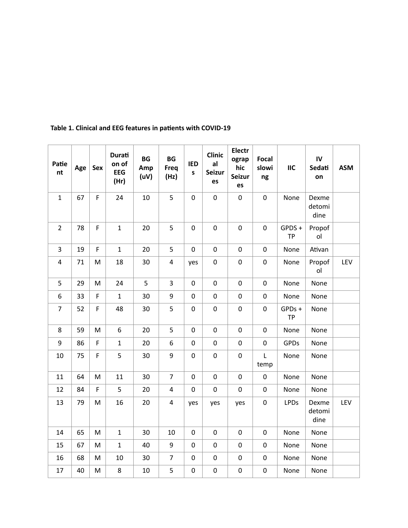| Patie<br>nt      | Age | Sex         | Durati<br>on of<br><b>EEG</b><br>(Hr) | <b>BG</b><br>Amp<br>(uV) | <b>BG</b><br>Freq<br>(Hz) | <b>IED</b><br>$\sf{s}$ | <b>Clinic</b><br>al<br><b>Seizur</b><br>es | Electr<br>ograp<br>hic<br>Seizur<br>es | <b>Focal</b><br>slowi<br>ng | IIC                 | IV<br>Sedati<br>on      | <b>ASM</b> |
|------------------|-----|-------------|---------------------------------------|--------------------------|---------------------------|------------------------|--------------------------------------------|----------------------------------------|-----------------------------|---------------------|-------------------------|------------|
| $\mathbf{1}$     | 67  | $\mathsf F$ | 24                                    | 10                       | 5                         | $\pmb{0}$              | $\pmb{0}$                                  | $\pmb{0}$                              | $\pmb{0}$                   | None                | Dexme<br>detomi<br>dine |            |
| $\overline{2}$   | 78  | F           | $\mathbf{1}$                          | 20                       | 5                         | $\mathbf 0$            | $\mathbf 0$                                | $\pmb{0}$                              | $\pmb{0}$                   | GPDS+<br><b>TP</b>  | Propof<br>ol            |            |
| $\overline{3}$   | 19  | F           | $\mathbf{1}$                          | 20                       | 5                         | $\pmb{0}$              | $\pmb{0}$                                  | $\pmb{0}$                              | $\pmb{0}$                   | None                | Ativan                  |            |
| $\pmb{4}$        | 71  | M           | 18                                    | 30                       | 4                         | yes                    | $\pmb{0}$                                  | $\pmb{0}$                              | $\pmb{0}$                   | None                | Propof<br>ol            | LEV        |
| 5                | 29  | M           | 24                                    | 5                        | 3                         | $\mathbf 0$            | 0                                          | $\pmb{0}$                              | $\pmb{0}$                   | None                | None                    |            |
| $\boldsymbol{6}$ | 33  | F           | $\mathbf{1}$                          | 30                       | 9                         | $\mathbf 0$            | $\pmb{0}$                                  | $\pmb{0}$                              | $\pmb{0}$                   | None                | None                    |            |
| $\overline{7}$   | 52  | F           | 48                                    | 30                       | 5                         | $\mathbf 0$            | $\pmb{0}$                                  | $\pmb{0}$                              | $\pmb{0}$                   | GPDs +<br><b>TP</b> | None                    |            |
| 8                | 59  | M           | 6                                     | 20                       | 5                         | $\pmb{0}$              | $\pmb{0}$                                  | $\pmb{0}$                              | $\pmb{0}$                   | None                | None                    |            |
| 9                | 86  | F           | $\mathbf{1}$                          | 20                       | 6                         | $\pmb{0}$              | $\pmb{0}$                                  | $\pmb{0}$                              | $\pmb{0}$                   | <b>GPDs</b>         | None                    |            |
| 10               | 75  | F           | 5                                     | 30                       | 9                         | $\mathbf 0$            | $\mathsf 0$                                | $\mathbf 0$                            | $\mathsf{L}$<br>temp        | None                | None                    |            |
| 11               | 64  | M           | 11                                    | 30                       | $\overline{7}$            | $\pmb{0}$              | $\pmb{0}$                                  | $\pmb{0}$                              | $\pmb{0}$                   | None                | None                    |            |
| 12               | 84  | F           | 5                                     | 20                       | 4                         | $\mathbf 0$            | 0                                          | $\pmb{0}$                              | $\pmb{0}$                   | None                | None                    |            |
| 13               | 79  | M           | 16                                    | 20                       | 4                         | yes                    | yes                                        | yes                                    | $\pmb{0}$                   | LPDs                | Dexme<br>detomi<br>dine | LEV        |
| 14               | 65  | M           | $\mathbf{1}$                          | 30                       | 10                        | $\pmb{0}$              | $\pmb{0}$                                  | $\pmb{0}$                              | $\pmb{0}$                   | None                | None                    |            |
| 15               | 67  | M           | $\mathbf{1}$                          | 40                       | 9                         | $\pmb{0}$              | 0                                          | $\pmb{0}$                              | $\pmb{0}$                   | None                | None                    |            |
| 16               | 68  | M           | $10\,$                                | 30                       | $\overline{7}$            | $\pmb{0}$              | $\pmb{0}$                                  | $\pmb{0}$                              | $\pmb{0}$                   | None                | None                    |            |
| 17               | 40  | M           | 8                                     | 10                       | 5                         | $\pmb{0}$              | $\mathsf{O}\xspace$                        | $\pmb{0}$                              | $\pmb{0}$                   | None                | None                    |            |

## Table 1. Clinical and EEG features in patients with COVID-19